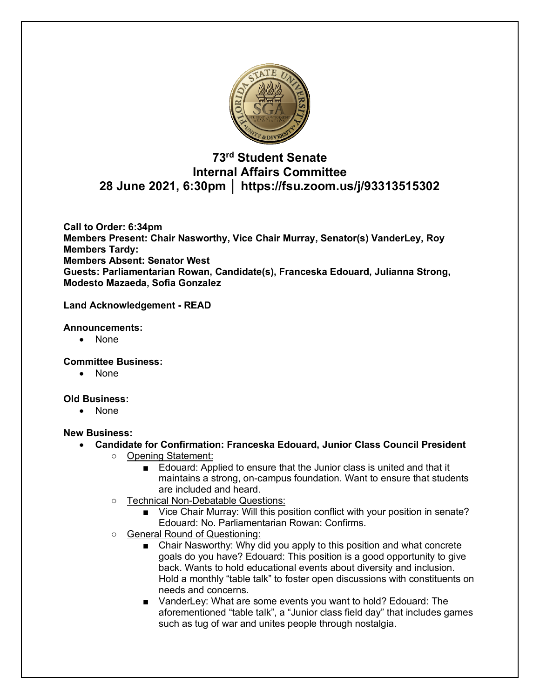

## **73rd Student Senate Internal Affairs Committee 28 June 2021, 6:30pm │ https://fsu.zoom.us/j/93313515302**

**Call to Order: 6:34pm Members Present: Chair Nasworthy, Vice Chair Murray, Senator(s) VanderLey, Roy Members Tardy: Members Absent: Senator West Guests: Parliamentarian Rowan, Candidate(s), Franceska Edouard, Julianna Strong, Modesto Mazaeda, Sofia Gonzalez**

#### **Land Acknowledgement - READ**

#### **Announcements:**

• None

**Committee Business:** 

• None

#### **Old Business:**

• None

#### **New Business:**

- **Candidate for Confirmation: Franceska Edouard, Junior Class Council President**
	- Opening Statement:
		- Edouard: Applied to ensure that the Junior class is united and that it maintains a strong, on-campus foundation. Want to ensure that students are included and heard.
		- Technical Non-Debatable Questions:
			- Vice Chair Murray: Will this position conflict with your position in senate? Edouard: No. Parliamentarian Rowan: Confirms.
	- o General Round of Questioning:
		- Chair Nasworthy: Why did you apply to this position and what concrete goals do you have? Edouard: This position is a good opportunity to give back. Wants to hold educational events about diversity and inclusion. Hold a monthly "table talk" to foster open discussions with constituents on needs and concerns.
		- VanderLey: What are some events you want to hold? Edouard: The aforementioned "table talk", a "Junior class field day" that includes games such as tug of war and unites people through nostalgia.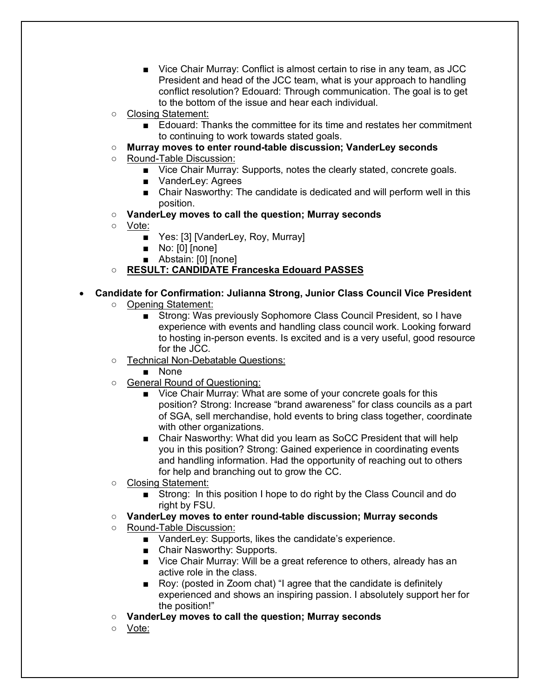- Vice Chair Murray: Conflict is almost certain to rise in any team, as JCC President and head of the JCC team, what is your approach to handling conflict resolution? Edouard: Through communication. The goal is to get to the bottom of the issue and hear each individual.
- Closing Statement:
	- Edouard: Thanks the committee for its time and restates her commitment to continuing to work towards stated goals.
- **Murray moves to enter round-table discussion; VanderLey seconds**
- Round-Table Discussion:
	- Vice Chair Murray: Supports, notes the clearly stated, concrete goals.
	- VanderLey: Agrees
	- Chair Nasworthy: The candidate is dedicated and will perform well in this position.
- **VanderLey moves to call the question; Murray seconds**
- Vote:
	- Yes: [3] [VanderLey, Roy, Murray]
	- No: [0] [none]
	- Abstain: [0] [none]
- **RESULT: CANDIDATE Franceska Edouard PASSES**

## • **Candidate for Confirmation: Julianna Strong, Junior Class Council Vice President**

- Opening Statement:
	- Strong: Was previously Sophomore Class Council President, so I have experience with events and handling class council work. Looking forward to hosting in-person events. Is excited and is a very useful, good resource for the JCC.
- Technical Non-Debatable Questions:
	- None
- General Round of Questioning:
	- Vice Chair Murray: What are some of your concrete goals for this position? Strong: Increase "brand awareness" for class councils as a part of SGA, sell merchandise, hold events to bring class together, coordinate with other organizations.
	- Chair Nasworthy: What did you learn as SoCC President that will help you in this position? Strong: Gained experience in coordinating events and handling information. Had the opportunity of reaching out to others for help and branching out to grow the CC.
- Closing Statement:
	- Strong: In this position I hope to do right by the Class Council and do right by FSU.
- **VanderLey moves to enter round-table discussion; Murray seconds**
- Round-Table Discussion:
	- VanderLey: Supports, likes the candidate's experience.
	- Chair Nasworthy: Supports.
	- Vice Chair Murray: Will be a great reference to others, already has an active role in the class.
	- Roy: (posted in Zoom chat) "I agree that the candidate is definitely experienced and shows an inspiring passion. I absolutely support her for the position!"
- **VanderLey moves to call the question; Murray seconds**
- Vote: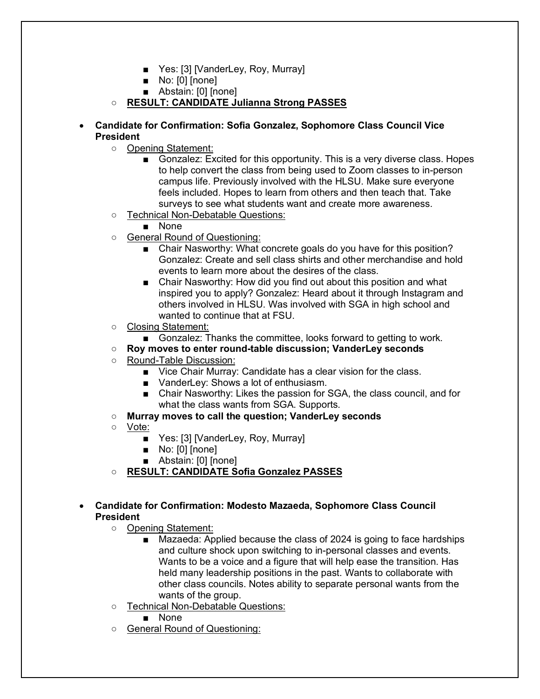- Yes: [3] [VanderLey, Roy, Murray]
- No: [0] [none]
- Abstain: [0] [none]
- **RESULT: CANDIDATE Julianna Strong PASSES**
- **Candidate for Confirmation: Sofia Gonzalez, Sophomore Class Council Vice President** 
	- Opening Statement:
		- Gonzalez: Excited for this opportunity. This is a very diverse class. Hopes to help convert the class from being used to Zoom classes to in-person campus life. Previously involved with the HLSU. Make sure everyone feels included. Hopes to learn from others and then teach that. Take surveys to see what students want and create more awareness.
	- Technical Non-Debatable Questions:
		- None
	- General Round of Questioning:
		- Chair Nasworthy: What concrete goals do you have for this position? Gonzalez: Create and sell class shirts and other merchandise and hold events to learn more about the desires of the class.
		- Chair Nasworthy: How did you find out about this position and what inspired you to apply? Gonzalez: Heard about it through Instagram and others involved in HLSU. Was involved with SGA in high school and wanted to continue that at FSU.
	- Closing Statement:
		- Gonzalez: Thanks the committee, looks forward to getting to work.

#### ○ **Roy moves to enter round-table discussion; VanderLey seconds**

- Round-Table Discussion:
	- Vice Chair Murray: Candidate has a clear vision for the class.
	- VanderLey: Shows a lot of enthusiasm.
	- Chair Nasworthy: Likes the passion for SGA, the class council, and for what the class wants from SGA. Supports.
- **Murray moves to call the question; VanderLey seconds**
- Vote:
	- Yes: [3] [VanderLey, Roy, Murray]
	- No: [0] [none]
	- Abstain: [0] [none]
- **RESULT: CANDIDATE Sofia Gonzalez PASSES**

#### • **Candidate for Confirmation: Modesto Mazaeda, Sophomore Class Council President**

- Opening Statement:
	- Mazaeda: Applied because the class of 2024 is going to face hardships and culture shock upon switching to in-personal classes and events. Wants to be a voice and a figure that will help ease the transition. Has held many leadership positions in the past. Wants to collaborate with other class councils. Notes ability to separate personal wants from the wants of the group.
- Technical Non-Debatable Questions:
	- None
- General Round of Questioning: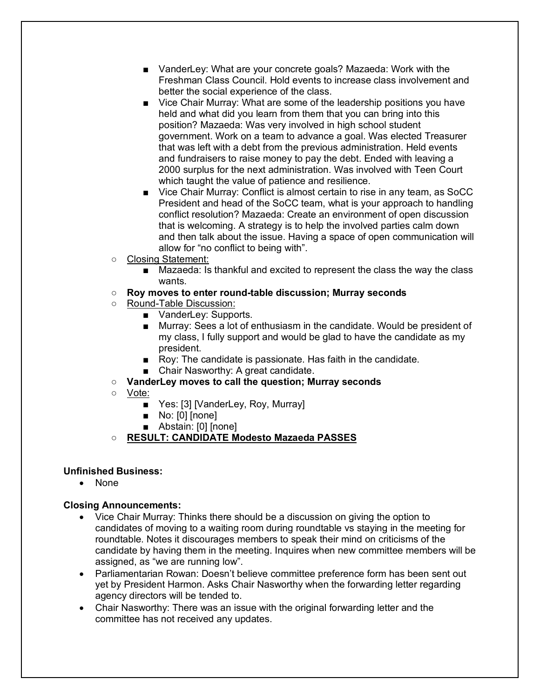- VanderLey: What are your concrete goals? Mazaeda: Work with the Freshman Class Council. Hold events to increase class involvement and better the social experience of the class.
- Vice Chair Murray: What are some of the leadership positions you have held and what did you learn from them that you can bring into this position? Mazaeda: Was very involved in high school student government. Work on a team to advance a goal. Was elected Treasurer that was left with a debt from the previous administration. Held events and fundraisers to raise money to pay the debt. Ended with leaving a 2000 surplus for the next administration. Was involved with Teen Court which taught the value of patience and resilience.
- Vice Chair Murray: Conflict is almost certain to rise in any team, as SoCC President and head of the SoCC team, what is your approach to handling conflict resolution? Mazaeda: Create an environment of open discussion that is welcoming. A strategy is to help the involved parties calm down and then talk about the issue. Having a space of open communication will allow for "no conflict to being with".
- Closing Statement:
	- Mazaeda: Is thankful and excited to represent the class the way the class wants.
- **Roy moves to enter round-table discussion; Murray seconds**
- Round-Table Discussion:
	- VanderLey: Supports.
	- Murray: Sees a lot of enthusiasm in the candidate. Would be president of my class, I fully support and would be glad to have the candidate as my president.
	- Roy: The candidate is passionate. Has faith in the candidate.
	- Chair Nasworthy: A great candidate.
- **VanderLey moves to call the question; Murray seconds**
- Vote:
	- Yes: [3] [VanderLey, Roy, Murray]
	- No: [0] [none]
	- Abstain: [0] [none]
- **RESULT: CANDIDATE Modesto Mazaeda PASSES**

#### **Unfinished Business:**

• None

### **Closing Announcements:**

- Vice Chair Murray: Thinks there should be a discussion on giving the option to candidates of moving to a waiting room during roundtable vs staying in the meeting for roundtable. Notes it discourages members to speak their mind on criticisms of the candidate by having them in the meeting. Inquires when new committee members will be assigned, as "we are running low".
- Parliamentarian Rowan: Doesn't believe committee preference form has been sent out yet by President Harmon. Asks Chair Nasworthy when the forwarding letter regarding agency directors will be tended to.
- Chair Nasworthy: There was an issue with the original forwarding letter and the committee has not received any updates.